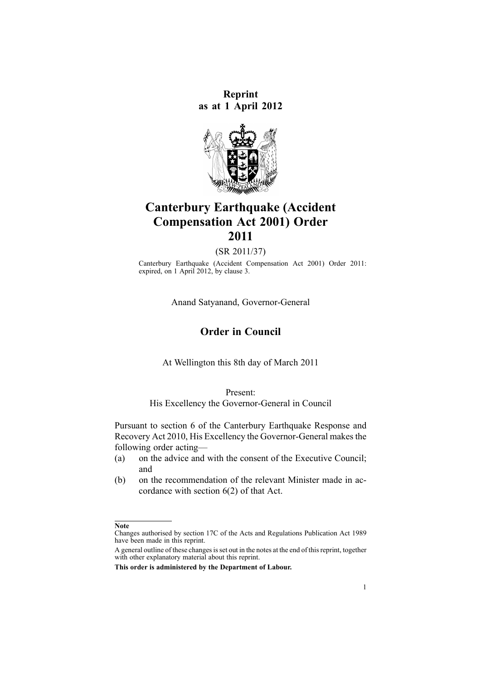**Reprint as at 1 April 2012**



# **Canterbury Earthquake (Accident Compensation Act 2001) Order 2011**

(SR 2011/37)

Canterbury Earthquake (Accident Compensation Act 2001) Order 2011: expired, on 1 April 2012, by [clause](http://www.legislation.govt.nz/pdflink.aspx?id=DLM3589814) 3.

Anand Satyanand, Governor-General

## **Order in Council**

At Wellington this 8th day of March 2011

Present:

His Excellency the Governor-General in Council

Pursuant to [section](http://www.legislation.govt.nz/pdflink.aspx?id=DLM3233036) 6 of the Canterbury Earthquake Response and Recovery Act 2010, His Excellency the Governor-General makesthe following order acting—

- (a) on the advice and with the consent of the Executive Council; and
- (b) on the recommendation of the relevant Minister made in accordance with [section](http://www.legislation.govt.nz/pdflink.aspx?id=DLM3233036) 6(2) of that Act.

**Note**

Changes authorised by [section](http://www.legislation.govt.nz/pdflink.aspx?id=DLM195466) 17C of the Acts and Regulations Publication Act 1989 have been made in this reprint.

A general outline of these changes is set out in the notes at the end of this reprint, together with other explanatory material about this reprint.

**This order is administered by the Department of Labour.**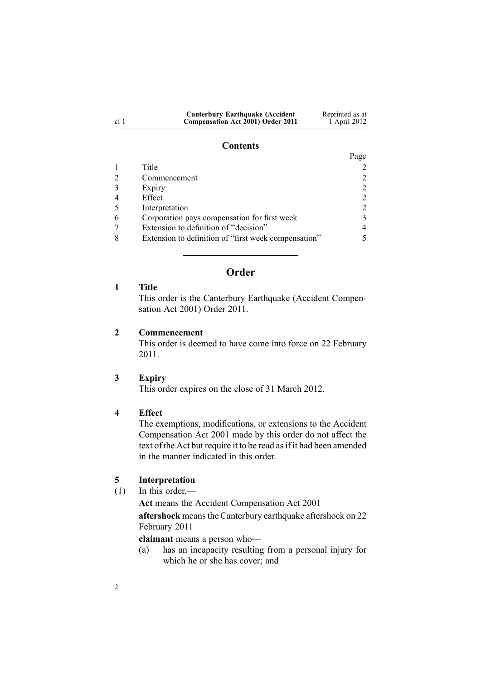<span id="page-1-0"></span>

| <b>Canterbury Earthquake (Accident)</b> | Reprinted as at |
|-----------------------------------------|-----------------|
| Compensation Act 2001) Order 2011       | 1 April 2012    |

#### **Contents**

|                                                      | Page                        |
|------------------------------------------------------|-----------------------------|
| Title                                                |                             |
| Commencement                                         |                             |
| Expiry                                               |                             |
| Effect                                               |                             |
| Interpretation                                       | $\mathcal{D}_{\mathcal{L}}$ |
| Corporation pays compensation for first week         |                             |
| Extension to definition of "decision"                | 4                           |
| Extension to definition of "first week compensation" |                             |

## **Order**

## **1 Title**

This order is the Canterbury Earthquake (Accident Compensation Act 2001) Order 2011.

## **2 Commencement**

This order is deemed to have come into force on 22 February 2011.

## **3 Expiry**

This order expires on the close of 31 March 2012.

## **4 Effect**

2

The exemptions, modifications, or extensions to the [Accident](http://www.legislation.govt.nz/pdflink.aspx?id=DLM99493) [Compensation](http://www.legislation.govt.nz/pdflink.aspx?id=DLM99493) Act 2001 made by this order do not affect the text of the Act but require it to be read as if it had been amended in the manner indicated in this order.

## **5 Interpretation**

(1) In this order,—

**Act** means the Accident [Compensation](http://www.legislation.govt.nz/pdflink.aspx?id=DLM99493) Act 2001

**aftershock** meansthe Canterbury earthquake aftershock on 22 February 2011

**claimant** means <sup>a</sup> person who—

(a) has an incapacity resulting from <sup>a</sup> personal injury for which he or she has cover; and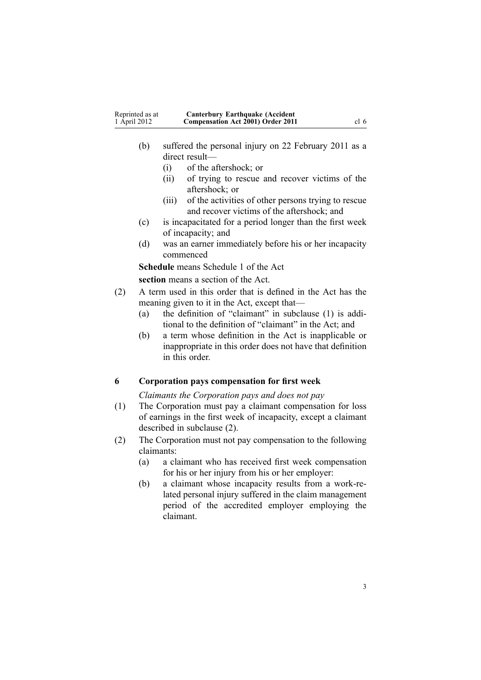- <span id="page-2-0"></span>(b) suffered the personal injury on 22 February 2011 as <sup>a</sup> direct result—
	- (i) of the aftershock; or
	- (ii) of trying to rescue and recover victims of the aftershock; or
	- (iii) of the activities of other persons trying to rescue and recover victims of the aftershock; and
- (c) is incapacitated for <sup>a</sup> period longer than the first week of incapacity; and
- (d) was an earner immediately before his or her incapacity commenced

**Schedule** means [Schedule](http://www.legislation.govt.nz/pdflink.aspx?id=DLM104541) 1 of the Act

**section** means <sup>a</sup> section of the Act.

- (2) A term used in this order that is defined in the Act has the meaning given to it in the Act, excep<sup>t</sup> that—
	- (a) the definition of "claimant" in subclause (1) is additional to the definition of "claimant" in the Act; and
	- (b) <sup>a</sup> term whose definition in the Act is inapplicable or inappropriate in this order does not have that definition in this order.

## **6 Corporation pays compensation for first week**

*Claimants the Corporation pays and does not pay*

- (1) The Corporation must pay <sup>a</sup> claimant compensation for loss of earnings in the first week of incapacity, excep<sup>t</sup> <sup>a</sup> claimant described in subclause (2).
- (2) The Corporation must not pay compensation to the following claimants:
	- (a) <sup>a</sup> claimant who has received first week compensation for his or her injury from his or her employer:
	- (b) <sup>a</sup> claimant whose incapacity results from <sup>a</sup> work-related personal injury suffered in the claim managemen<sup>t</sup> period of the accredited employer employing the claimant.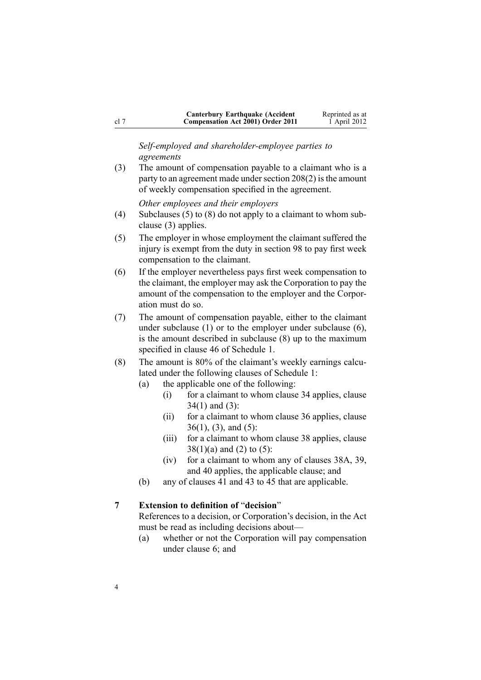<span id="page-3-0"></span>

|        | <b>Canterbury Earthquake (Accident</b> ) | Reprinted as at |
|--------|------------------------------------------|-----------------|
| - cl 7 | Compensation Act 2001) Order 2011        | 1 April 2012    |

*Self-employed and shareholder-employee parties to agreements*

(3) The amount of compensation payable to <sup>a</sup> claimant who is <sup>a</sup> party to an agreement made under section  $208(2)$  is the amount of weekly compensation specified in the agreement.

*Other employees and their employers*

- (4) Subclauses (5) to (8) do not apply to <sup>a</sup> claimant to whom subclause (3) applies.
- (5) The employer in whose employment the claimant suffered the injury is exemp<sup>t</sup> from the duty in [section](http://www.legislation.govt.nz/pdflink.aspx?id=DLM101449) 98 to pay first week compensation to the claimant.
- (6) If the employer nevertheless pays first week compensation to the claimant, the employer may ask the Corporation to pay the amount of the compensation to the employer and the Corporation must do so.
- (7) The amount of compensation payable, either to the claimant under subclause (1) or to the employer under subclause (6), is the amount described in subclause (8) up to the maximum specified in [clause](http://www.legislation.govt.nz/pdflink.aspx?id=DLM104889) 46 of Schedule 1.
- (8) The amount is 80% of the claimant's weekly earnings calculated under the following clauses of [Schedule](http://www.legislation.govt.nz/pdflink.aspx?id=DLM104541) 1:
	- (a) the applicable one of the following:
		- (i) for <sup>a</sup> claimant to whom [clause](http://www.legislation.govt.nz/pdflink.aspx?id=DLM104833) 34 applies, clause 34(1) and (3):
		- (ii) for <sup>a</sup> claimant to whom [clause](http://www.legislation.govt.nz/pdflink.aspx?id=DLM104840) 36 applies, clause 36(1), (3), and (5):
		- (iii) for <sup>a</sup> claimant to whom [clause](http://www.legislation.govt.nz/pdflink.aspx?id=DLM104848) 38 applies, clause  $38(1)(a)$  and (2) to (5):
		- (iv) for <sup>a</sup> claimant to whom any of [clauses](http://www.legislation.govt.nz/pdflink.aspx?id=DLM104857) 38A, [39](http://www.legislation.govt.nz/pdflink.aspx?id=DLM104860), and [40](http://www.legislation.govt.nz/pdflink.aspx?id=DLM104868) applies, the applicable clause; and
	- (b) any of [clauses](http://www.legislation.govt.nz/pdflink.aspx?id=DLM104871) 41 and 43 to [45](http://www.legislation.govt.nz/pdflink.aspx?id=DLM104879) that are applicable.

#### **7 Extension to definition of** "**decision**"

References to <sup>a</sup> decision, or Corporation's decision, in the Act must be read as including decisions about—

(a) whether or not the Corporation will pay compensation under [clause](#page-2-0) 6; and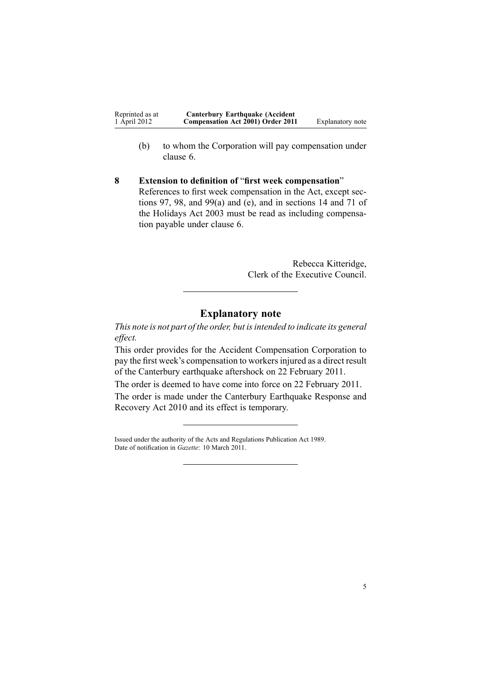<span id="page-4-0"></span>

| Reprinted as at | <b>Canterbury Earthquake (Accident</b> |                  |
|-----------------|----------------------------------------|------------------|
| 1 April 2012    | Compensation Act 2001) Order 2011      | Explanatory note |

- (b) to whom the Corporation will pay compensation under [clause](#page-2-0) 6.
- **8 Extension to definition of** "**first week compensation**" References to first week compensation in the Act, excep<sup>t</sup> [sec](http://www.legislation.govt.nz/pdflink.aspx?id=DLM101448)[tions](http://www.legislation.govt.nz/pdflink.aspx?id=DLM101448) 97, [98](http://www.legislation.govt.nz/pdflink.aspx?id=DLM101449), and [99\(a\)](http://www.legislation.govt.nz/pdflink.aspx?id=DLM101450) and (e), and in [sections](http://www.legislation.govt.nz/pdflink.aspx?id=DLM236866) 14 and [71](http://www.legislation.govt.nz/pdflink.aspx?id=DLM237176) of the Holidays Act 2003 must be read as including compensation payable under [clause](#page-2-0) 6.

Rebecca Kitteridge, Clerk of the Executive Council.

## **Explanatory note**

*This note is not par<sup>t</sup> of the order, but isintended to indicate its general effect.*

This order provides for the Accident Compensation Corporation to pay the first week's compensation to workersinjured as <sup>a</sup> direct result of the Canterbury earthquake aftershock on 22 February 2011.

The order is deemed to have come into force on 22 February 2011. The order is made under the Canterbury [Earthquake](http://www.legislation.govt.nz/pdflink.aspx?id=DLM3233000) Response and [Recovery](http://www.legislation.govt.nz/pdflink.aspx?id=DLM3233000) Act 2010 and its effect is temporary.

Issued under the authority of the Acts and [Regulations](http://www.legislation.govt.nz/pdflink.aspx?id=DLM195097) Publication Act 1989. Date of notification in *Gazette*: 10 March 2011.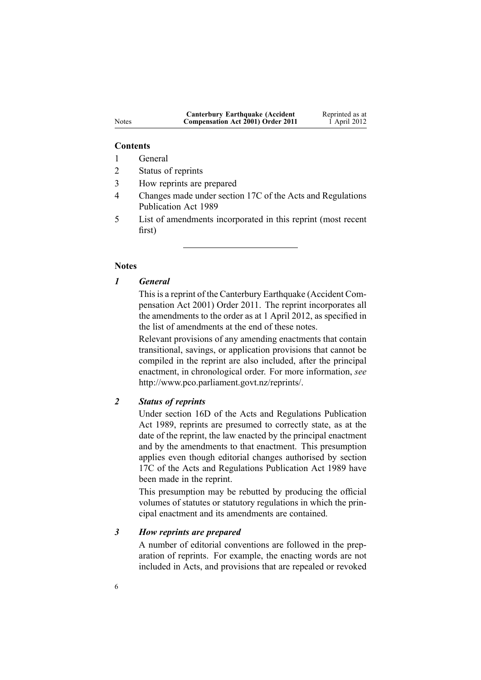| <b>Canterbury Earthquake (Accident</b> ) | Reprinted as at |
|------------------------------------------|-----------------|
| Compensation Act 2001) Order 2011        | 1 April 2012    |

#### **Contents**

- 1 General
- 2 Status of reprints
- 3 How reprints are prepared
- 4 Changes made under section 17C of the Acts and Regulations Publication Act 1989
- 5 List of amendments incorporated in this reprint (most recent first)

## **Notes**

## *1 General*

This is a reprint of the Canterbury Earthquake (Accident Compensation Act 2001) Order 2011. The reprint incorporates all the amendments to the order as at 1 April 2012, as specified in the list of amendments at the end of these notes.

Relevant provisions of any amending enactments that contain transitional, savings, or application provisions that cannot be compiled in the reprint are also included, after the principal enactment, in chronological order. For more information, *see* <http://www.pco.parliament.govt.nz/reprints/>.

## *2 Status of reprints*

Under [section](http://www.legislation.govt.nz/pdflink.aspx?id=DLM195439) 16D of the Acts and Regulations Publication Act 1989, reprints are presumed to correctly state, as at the date of the reprint, the law enacted by the principal enactment and by the amendments to that enactment. This presumption applies even though editorial changes authorised by [section](http://www.legislation.govt.nz/pdflink.aspx?id=DLM195466) [17C](http://www.legislation.govt.nz/pdflink.aspx?id=DLM195466) of the Acts and Regulations Publication Act 1989 have been made in the reprint.

This presumption may be rebutted by producing the official volumes of statutes or statutory regulations in which the principal enactment and its amendments are contained.

## *3 How reprints are prepared*

A number of editorial conventions are followed in the preparation of reprints. For example, the enacting words are not included in Acts, and provisions that are repealed or revoked

Notes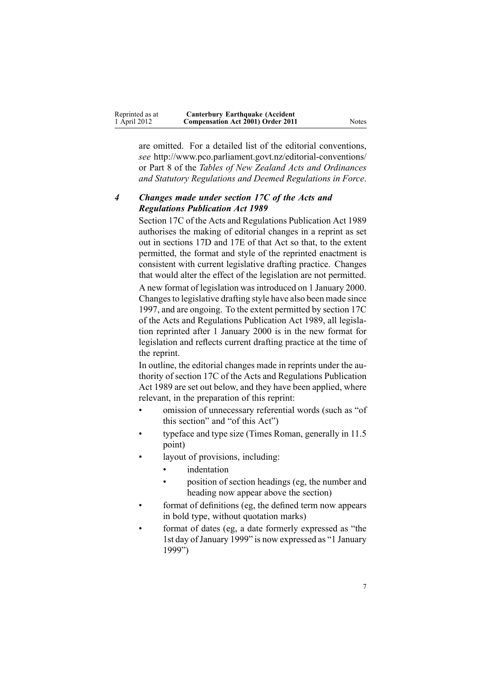| Reprinted as at | <b>Canterbury Earthquake (Accident)</b>  |       |
|-----------------|------------------------------------------|-------|
| 1 April 2012    | <b>Compensation Act 2001) Order 2011</b> | Notes |

are omitted. For <sup>a</sup> detailed list of the editorial conventions, *see* <http://www.pco.parliament.govt.nz/editorial-conventions/> or Part 8 of the *Tables of New Zealand Acts and Ordinances and Statutory Regulations and Deemed Regulations in Force*.

## *4 Changes made under section 17C of the Acts and Regulations Publication Act 1989*

[Section](http://www.legislation.govt.nz/pdflink.aspx?id=DLM195466) 17C of the Acts and Regulations Publication Act 1989 authorises the making of editorial changes in <sup>a</sup> reprint as set out in [sections](http://www.legislation.govt.nz/pdflink.aspx?id=DLM195468) 17D and [17E](http://www.legislation.govt.nz/pdflink.aspx?id=DLM195470) of that Act so that, to the extent permitted, the format and style of the reprinted enactment is consistent with current legislative drafting practice. Changes that would alter the effect of the legislation are not permitted.

A new format of legislation wasintroduced on 1 January 2000. Changesto legislative drafting style have also been made since 1997, and are ongoing. To the extent permitted by [section](http://www.legislation.govt.nz/pdflink.aspx?id=DLM195466) 17C of the Acts and Regulations Publication Act 1989, all legislation reprinted after 1 January 2000 is in the new format for legislation and reflects current drafting practice at the time of the reprint.

In outline, the editorial changes made in reprints under the authority of [section](http://www.legislation.govt.nz/pdflink.aspx?id=DLM195466) 17C of the Acts and Regulations Publication Act 1989 are set out below, and they have been applied, where relevant, in the preparation of this reprint:

- • omission of unnecessary referential words (such as "of this section" and "of this Act")
- • typeface and type size (Times Roman, generally in 11.5 point)
- • layout of provisions, including:
	- •indentation
	- • position of section headings (eg, the number and heading now appear above the section)
- • format of definitions (eg, the defined term now appears in bold type, without quotation marks)
- • format of dates (eg, <sup>a</sup> date formerly expressed as "the 1st day ofJanuary 1999" is now expressed as "1 January 1999")